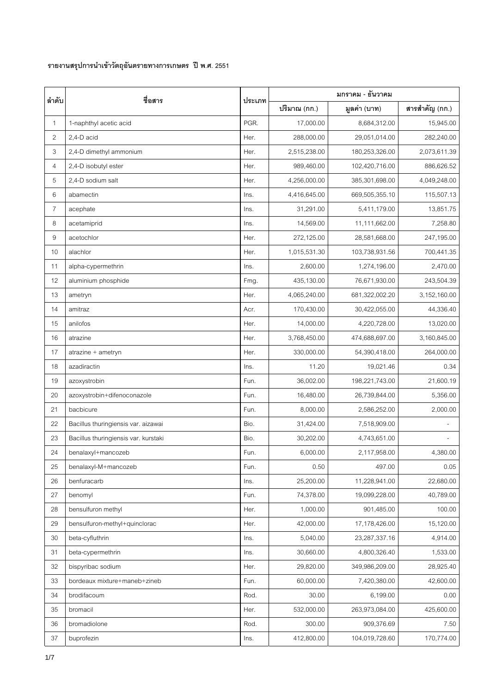## **รายงานสรุปการนําเขาวัตถุอันตรายทางการเกษตร ปพ.ศ. 2551**

| ลำดับ          | ชื่อสาร                              | ประเภท | มกราคม - ธันวาคม |                |                |  |
|----------------|--------------------------------------|--------|------------------|----------------|----------------|--|
|                |                                      |        | ปริมาณ (กก.)     | มูลค่า (บาท)   | สารสำคัญ (กก.) |  |
| 1              | 1-naphthyl acetic acid               | PGR.   | 17,000.00        | 8,684,312.00   | 15,945.00      |  |
| $\overline{c}$ | 2,4-D acid                           | Her.   | 288,000.00       | 29,051,014.00  | 282,240.00     |  |
| 3              | 2,4-D dimethyl ammonium              | Her.   | 2,515,238.00     | 180,253,326.00 | 2,073,611.39   |  |
| 4              | 2,4-D isobutyl ester                 | Her.   | 989,460.00       | 102,420,716.00 | 886,626.52     |  |
| 5              | 2,4-D sodium salt                    | Her.   | 4,256,000.00     | 385,301,698.00 | 4,049,248.00   |  |
| 6              | abamectin                            | Ins.   | 4,416,645.00     | 669,505,355.10 | 115,507.13     |  |
| 7              | acephate                             | Ins.   | 31,291.00        | 5,411,179.00   | 13,851.75      |  |
| 8              | acetamiprid                          | Ins.   | 14,569.00        | 11,111,662.00  | 7,258.80       |  |
| 9              | acetochlor                           | Her.   | 272,125.00       | 28,581,668.00  | 247,195.00     |  |
| 10             | alachlor                             | Her.   | 1,015,531.30     | 103,738,931.56 | 700,441.35     |  |
| 11             | alpha-cypermethrin                   | Ins.   | 2,600.00         | 1,274,196.00   | 2,470.00       |  |
| 12             | aluminium phosphide                  | Fmg.   | 435,130.00       | 76,671,930.00  | 243,504.39     |  |
| 13             | ametryn                              | Her.   | 4,065,240.00     | 681,322,002.20 | 3,152,160.00   |  |
| 14             | amitraz                              | Acr.   | 170,430.00       | 30,422,055.00  | 44,336.40      |  |
| 15             | anilofos                             | Her.   | 14,000.00        | 4,220,728.00   | 13,020.00      |  |
| 16             | atrazine                             | Her.   | 3,768,450.00     | 474,688,697.00 | 3,160,845.00   |  |
| 17             | atrazine + ametryn                   | Her.   | 330,000.00       | 54,390,418.00  | 264,000.00     |  |
| 18             | azadiractin                          | Ins.   | 11.20            | 19,021.46      | 0.34           |  |
| 19             | azoxystrobin                         | Fun.   | 36,002.00        | 198,221,743.00 | 21,600.19      |  |
| 20             | azoxystrobin+difenoconazole          | Fun.   | 16,480.00        | 26,739,844.00  | 5,356.00       |  |
| 21             | bacbicure                            | Fun.   | 8,000.00         | 2,586,252.00   | 2,000.00       |  |
| 22             | Bacillus thuringiensis var. aizawai  | Bio.   | 31,424.00        | 7,518,909.00   |                |  |
| 23             | Bacillus thuringiensis var. kurstaki | Bio.   | 30,202.00        | 4,743,651.00   |                |  |
| 24             | benalaxyl+mancozeb                   | Fun.   | 6,000.00         | 2,117,958.00   | 4,380.00       |  |
| 25             | benalaxyl-M+mancozeb                 | Fun.   | 0.50             | 497.00         | 0.05           |  |
| 26             | benfuracarb                          | Ins.   | 25,200.00        | 11,228,941.00  | 22,680.00      |  |
| 27             | benomyl                              | Fun.   | 74,378.00        | 19,099,228.00  | 40,789.00      |  |
| 28             | bensulfuron methyl                   | Her.   | 1,000.00         | 901,485.00     | 100.00         |  |
| 29             | bensulfuron-methyl+quinclorac        | Her.   | 42,000.00        | 17,178,426.00  | 15,120.00      |  |
| 30             | beta-cyfluthrin                      | Ins.   | 5,040.00         | 23,287,337.16  | 4,914.00       |  |
| 31             | beta-cypermethrin                    | Ins.   | 30,660.00        | 4,800,326.40   | 1,533.00       |  |
| 32             | bispyribac sodium                    | Her.   | 29,820.00        | 349,986,209.00 | 28,925.40      |  |
| 33             | bordeaux mixture+maneb+zineb         | Fun.   | 60,000.00        | 7,420,380.00   | 42,600.00      |  |
| 34             | brodifacoum                          | Rod.   | 30.00            | 6,199.00       | 0.00           |  |
| 35             | bromacil                             | Her.   | 532,000.00       | 263,973,084.00 | 425,600.00     |  |
| 36             | bromadiolone                         | Rod.   | 300.00           | 909,376.69     | 7.50           |  |
| 37             | buprofezin                           | Ins.   | 412,800.00       | 104,019,728.60 | 170,774.00     |  |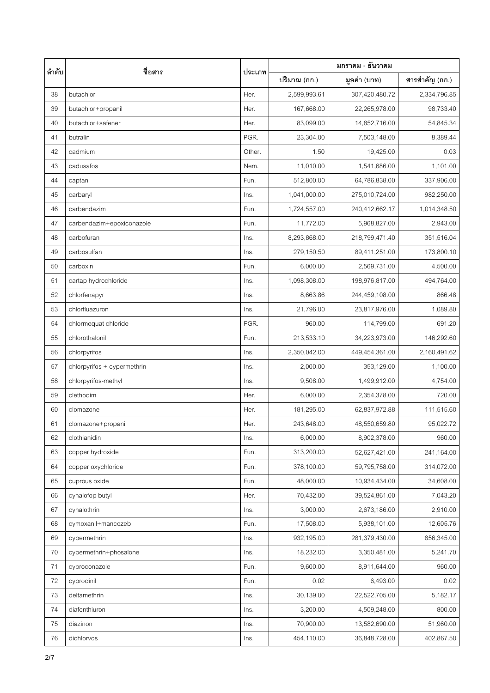| ลำดับ | ชื่อสาร                     | ประเภท | มกราคม - ธันวาคม |                |                |  |
|-------|-----------------------------|--------|------------------|----------------|----------------|--|
|       |                             |        | ปริมาณ (กก.)     | มูลค่า (บาท)   | สารสำคัญ (กก.) |  |
| 38    | butachlor                   | Her.   | 2,599,993.61     | 307,420,480.72 | 2,334,796.85   |  |
| 39    | butachlor+propanil          | Her.   | 167,668.00       | 22,265,978.00  | 98,733.40      |  |
| 40    | butachlor+safener           | Her.   | 83,099.00        | 14,852,716.00  | 54,845.34      |  |
| 41    | butralin                    | PGR.   | 23,304.00        | 7,503,148.00   | 8,389.44       |  |
| 42    | cadmium                     | Other. | 1.50             | 19,425.00      | 0.03           |  |
| 43    | cadusafos                   | Nem.   | 11,010.00        | 1,541,686.00   | 1,101.00       |  |
| 44    | captan                      | Fun.   | 512,800.00       | 64,786,838.00  | 337,906.00     |  |
| 45    | carbaryl                    | Ins.   | 1,041,000.00     | 275,010,724.00 | 982,250.00     |  |
| 46    | carbendazim                 | Fun.   | 1,724,557.00     | 240,412,662.17 | 1,014,348.50   |  |
| 47    | carbendazim+epoxiconazole   | Fun.   | 11,772.00        | 5,968,827.00   | 2,943.00       |  |
| 48    | carbofuran                  | Ins.   | 8,293,868.00     | 218,799,471.40 | 351,516.04     |  |
| 49    | carbosulfan                 | Ins.   | 279,150.50       | 89,411,251.00  | 173,800.10     |  |
| 50    | carboxin                    | Fun.   | 6,000.00         | 2,569,731.00   | 4,500.00       |  |
| 51    | cartap hydrochloride        | Ins.   | 1,098,308.00     | 198,976,817.00 | 494,764.00     |  |
| 52    | chlorfenapyr                | Ins.   | 8,663.86         | 244,459,108.00 | 866.48         |  |
| 53    | chlorfluazuron              | Ins.   | 21,796.00        | 23,817,976.00  | 1,089.80       |  |
| 54    | chlormequat chloride        | PGR.   | 960.00           | 114,799.00     | 691.20         |  |
| 55    | chlorothalonil              | Fun.   | 213,533.10       | 34,223,973.00  | 146,292.60     |  |
| 56    | chlorpyrifos                | Ins.   | 2,350,042.00     | 449,454,361.00 | 2,160,491.62   |  |
| 57    | chlorpyrifos + cypermethrin | Ins.   | 2,000.00         | 353,129.00     | 1,100.00       |  |
| 58    | chlorpyrifos-methyl         | Ins.   | 9,508.00         | 1,499,912.00   | 4,754.00       |  |
| 59    | clethodim                   | Her.   | 6,000.00         | 2,354,378.00   | 720.00         |  |
| 60    | clomazone                   | Her.   | 181,295.00       | 62,837,972.88  | 111,515.60     |  |
| 61    | clomazone+propanil          | Her.   | 243,648.00       | 48,550,659.80  | 95,022.72      |  |
| 62    | clothianidin                | Ins.   | 6,000.00         | 8,902,378.00   | 960.00         |  |
| 63    | copper hydroxide            | Fun.   | 313,200.00       | 52,627,421.00  | 241,164.00     |  |
| 64    | copper oxychloride          | Fun.   | 378,100.00       | 59,795,758.00  | 314,072.00     |  |
| 65    | cuprous oxide               | Fun.   | 48,000.00        | 10,934,434.00  | 34,608.00      |  |
| 66    | cyhalofop butyl             | Her.   | 70,432.00        | 39,524,861.00  | 7,043.20       |  |
| 67    | cyhalothrin                 | Ins.   | 3,000.00         | 2,673,186.00   | 2,910.00       |  |
| 68    | cymoxanil+mancozeb          | Fun.   | 17,508.00        | 5,938,101.00   | 12,605.76      |  |
| 69    | cypermethrin                | Ins.   | 932,195.00       | 281,379,430.00 | 856,345.00     |  |
| 70    | cypermethrin+phosalone      | Ins.   | 18,232.00        | 3,350,481.00   | 5,241.70       |  |
| 71    | cyproconazole               | Fun.   | 9,600.00         | 8,911,644.00   | 960.00         |  |
| 72    | cyprodinil                  | Fun.   | 0.02             | 6,493.00       | 0.02           |  |
| 73    | deltamethrin                | Ins.   | 30,139.00        | 22,522,705.00  | 5,182.17       |  |
| 74    | diafenthiuron               | Ins.   | 3,200.00         | 4,509,248.00   | 800.00         |  |
| 75    | diazinon                    | Ins.   | 70,900.00        | 13,582,690.00  | 51,960.00      |  |
| 76    | dichlorvos                  | Ins.   | 454,110.00       | 36,848,728.00  | 402,867.50     |  |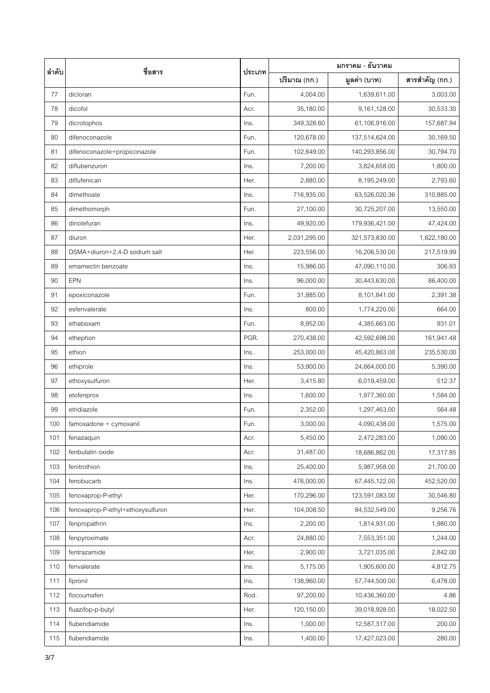| ลำดับ | ชื่อสาร                           | ประเภท | มกราคม - ธันวาคม |                |                |  |
|-------|-----------------------------------|--------|------------------|----------------|----------------|--|
|       |                                   |        | ปริมาณ (กก.)     | มูลค่า (บาท)   | สารสำคัญ (กก.) |  |
| 77    | dicloran                          | Fun.   | 4,004.00         | 1,639,611.00   | 3,003.00       |  |
| 78    | dicofol                           | Acr.   | 35,180.00        | 9,161,128.00   | 30,533.30      |  |
| 79    | dicrotophos                       | Ins.   | 349,328.60       | 61,106,916.00  | 157,687.94     |  |
| 80    | difenoconazole                    | Fun.   | 120,678.00       | 137,514,624.00 | 30,169.50      |  |
| 81    | difenoconazole+propiconazole      | Fun.   | 102,649.00       | 140,293,856.00 | 30,794.70      |  |
| 82    | diflubenzuron                     | Ins.   | 7,200.00         | 3,824,658.00   | 1,800.00       |  |
| 83    | diflufenican                      | Her.   | 2,880.00         | 8,195,249.00   | 2,793.60       |  |
| 84    | dimethoate                        | Ins.   | 716,935.00       | 63,526,020.36  | 310,885.00     |  |
| 85    | dimethomorph                      | Fun.   | 27,100.00        | 30,725,207.00  | 13,550.00      |  |
| 86    | dinotefuran                       | Ins.   | 49,920.00        | 179,936,421.00 | 47,424.00      |  |
| 87    | diuron                            | Her.   | 2,031,295.00     | 321,573,830.00 | 1,622,180.00   |  |
| 88    | DSMA+diuron+2,4-D sodium salt     | Her.   | 223,556.00       | 16,206,530.00  | 217,519.99     |  |
| 89    | emamectin benzoate                | Ins.   | 15,986.00        | 47,090,110.00  | 306.93         |  |
| 90    | EPN                               | Ins.   | 96,000.00        | 30,443,630.00  | 86,400.00      |  |
| 91    | epoxiconazole                     | Fun.   | 31,885.00        | 8,101,841.00   | 2,391.38       |  |
| 92    | esfenvalerate                     | Ins.   | 800.00           | 1,774,220.00   | 664.00         |  |
| 93    | ethaboxam                         | Fun.   | 8,952.00         | 4,385,663.00   | 931.01         |  |
| 94    | ethephon                          | PGR.   | 270,438.00       | 42,592,698.00  | 161,941.48     |  |
| 95    | ethion                            | Ins.   | 253,000.00       | 45,420,863.00  | 235,530.00     |  |
| 96    | ethiprole                         | Ins.   | 53,900.00        | 24,664,000.00  | 5,390.00       |  |
| 97    | ethoxysulfuron                    | Her.   | 3,415.80         | 6,019,459.00   | 512.37         |  |
| 98    | etofenprox                        | Ins.   | 1,600.00         | 1,977,360.00   | 1,584.00       |  |
| 99    | etridiazole                       | Fun.   | 2,352.00         | 1,297,463.00   | 564.48         |  |
| 100   | famoxadone + cymoxanil            | Fun.   | 3,000.00         | 4,090,438.00   | 1,575.00       |  |
| 101   | fenazaquin                        | Acr.   | 5,450.00         | 2,472,283.00   | 1,090.00       |  |
| 102   | fenbutatin oxide                  | Acr.   | 31,487.00        | 18,686,862.00  | 17,317.85      |  |
| 103   | fenitrothion                      | Ins.   | 25,400.00        | 5,987,958.00   | 21,700.00      |  |
| 104   | fenobucarb                        | Ins.   | 476,000.00       | 67,445,122.00  | 452,520.00     |  |
| 105   | fenoxaprop-P-ethyl                | Her.   | 170,296.00       | 123,591,083.00 | 30,546.80      |  |
| 106   | fenoxaprop-P-ethyl+ethoxysulfuron | Her.   | 104,008.50       | 84,532,549.00  | 9,256.76       |  |
| 107   | fenpropathrin                     | Ins.   | 2,200.00         | 1,814,931.00   | 1,980.00       |  |
| 108   | fenpyroximate                     | Acr.   | 24,880.00        | 7,553,351.00   | 1,244.00       |  |
| 109   | fentrazamide                      | Her.   | 2,900.00         | 3,721,035.00   | 2,842.00       |  |
| 110   | fenvalerate                       | Ins.   | 5,175.00         | 1,905,600.00   | 4,812.75       |  |
| 111   | fipronil                          | Ins.   | 138,960.00       | 57,744,500.00  | 6,478.00       |  |
| 112   | flocoumafen                       | Rod.   | 97,200.00        | 10,436,360.00  | 4.86           |  |
| 113   | fluazifop-p-butyl                 | Her.   | 120,150.00       | 39,018,928.00  | 18,022.50      |  |
| 114   | flubendiamide                     | Ins.   | 1,000.00         | 12,587,317.00  | 200.00         |  |
| 115   | flubendiamide                     | Ins.   | 1,400.00         | 17,427,023.00  | 280.00         |  |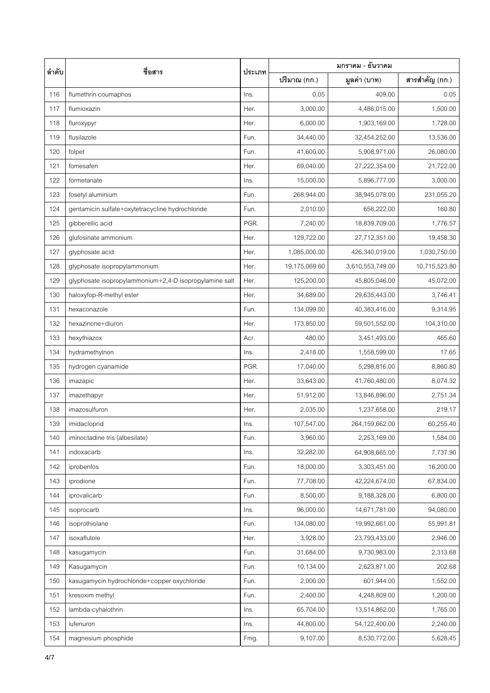| ลำดับ | ชื่อสาร                                                | ประเภท | มกราคม - ธันวาคม |                  |                |  |
|-------|--------------------------------------------------------|--------|------------------|------------------|----------------|--|
|       |                                                        |        | ปริมาณ (กก.)     | มูลค่า (บาท)     | สารสำคัญ (กก.) |  |
| 116   | flumethrin coumaphos                                   | Ins.   | 0.05             | 409.00           | 0.05           |  |
| 117   | flumioxazin                                            | Her.   | 3,000.00         | 4,486,015.00     | 1,500.00       |  |
| 118   | fluroxypyr                                             | Her.   | 6,000.00         | 1,903,169.00     | 1,728.00       |  |
| 119   | flusilazole                                            | Fun.   | 34,440.00        | 32,454,252.00    | 13,536.00      |  |
| 120   | folpet                                                 | Fun.   | 41,600.00        | 5,908,971.00     | 26,080.00      |  |
| 121   | fomesafen                                              | Her.   | 69,040.00        | 27,222,354.00    | 21,722.00      |  |
| 122   | formetanate                                            | Ins.   | 15,000.00        | 5,896,777.00     | 3,000.00       |  |
| 123   | fosetyl aluminium                                      | Fun.   | 268,944.00       | 38,945,078.00    | 231,055.20     |  |
| 124   | gentamicin sulfate+oxytetracycline hydrochloride       | Fun.   | 2,010.00         | 656,222.00       | 160.80         |  |
| 125   | gibberellic acid                                       | PGR.   | 7,240.00         | 18,839,709.00    | 1,776.57       |  |
| 126   | glufosinate ammonium                                   | Her.   | 129,722.00       | 27,712,351.00    | 19,458.30      |  |
| 127   | glyphosate acid                                        | Her.   | 1,085,000.00     | 426,340,019.00   | 1,030,750.00   |  |
| 128   | glyphosate isopropylammonium                           | Her.   | 19,175,069.60    | 3,610,553,749.00 | 10,715,523.80  |  |
| 129   | glyphosate isopropylammonium+2,4-D isopropylamine salt | Her.   | 125,200.00       | 45,805,046.00    | 45,072.00      |  |
| 130   | haloxyfop-R-methyl ester                               | Her.   | 34,689.00        | 29,635,443.00    | 3,746.41       |  |
| 131   | hexaconazole                                           | Fun.   | 134,099.00       | 40,383,416.00    | 9,314.95       |  |
| 132   | hexazinone+diuron                                      | Her.   | 173,850.00       | 59,501,552.00    | 104,310.00     |  |
| 133   | hexythiazox                                            | Acr.   | 480.00           | 3,451,493.00     | 465.60         |  |
| 134   | hydramethylnon                                         | Ins.   | 2,418.00         | 1,558,599.00     | 17.65          |  |
| 135   | hydrogen cyanamide                                     | PGR.   | 17,040.00        | 5,298,816.00     | 8,860.80       |  |
| 136   | imazapic                                               | Her.   | 33,643.00        | 41,760,480.00    | 8,074.32       |  |
| 137   | imazethapyr                                            | Her.   | 51,912.00        | 13,846,896.00    | 2,751.34       |  |
| 138   | imazosulfuron                                          | Her.   | 2,035.00         | 1,237,658.00     | 219.17         |  |
| 139   | imidacloprid                                           | Ins.   | 107,547.00       | 264,159,662.00   | 60,255.40      |  |
| 140   | iminoctadine tris (albesilate)                         | Fun.   | 3,960.00         | 2,253,169.00     | 1,584.00       |  |
| 141   | indoxacarb                                             | Ins.   | 32,282.00        | 64,908,665.00    | 7,737.90       |  |
| 142   | iprobenfos                                             | Fun.   | 18,000.00        | 3,303,451.00     | 16,200.00      |  |
| 143   | iprodione                                              | Fun.   | 77,708.00        | 42,224,674.00    | 67,834.00      |  |
| 144   | iprovalicarb                                           | Fun.   | 8,500.00         | 9,188,328.00     | 6,800.00       |  |
| 145   | isoprocarb                                             | Ins.   | 96,000.00        | 14,671,781.00    | 94,080.00      |  |
| 146   | isoprothiolane                                         | Fun.   | 134,080.00       | 19,992,661.00    | 55,991.81      |  |
| 147   | isoxaflutole                                           | Her.   | 3,928.00         | 23,793,433.00    | 2,946.00       |  |
| 148   | kasugamycin                                            | Fun.   | 31,684.00        | 9,730,983.00     | 2,313.68       |  |
| 149   | Kasugamycin                                            | Fun.   | 10,134.00        | 2,623,871.00     | 202.68         |  |
| 150   | kasugamycin hydrochloride+copper oxychloride           | Fun.   | 2,000.00         | 601,944.00       | 1,552.00       |  |
| 151   | kresoxim methyl                                        | Fun.   | 2,400.00         | 4,248,809.00     | 1,200.00       |  |
| 152   | lambda-cyhalothrin                                     | Ins.   | 65,704.00        | 13,514,862.00    | 1,765.00       |  |
| 153   | lufenuron                                              | Ins.   | 44,800.00        | 54,122,400.00    | 2,240.00       |  |
| 154   | magnesium phosphide                                    | Fmg.   | 9,107.00         | 8,530,772.00     | 5,628.45       |  |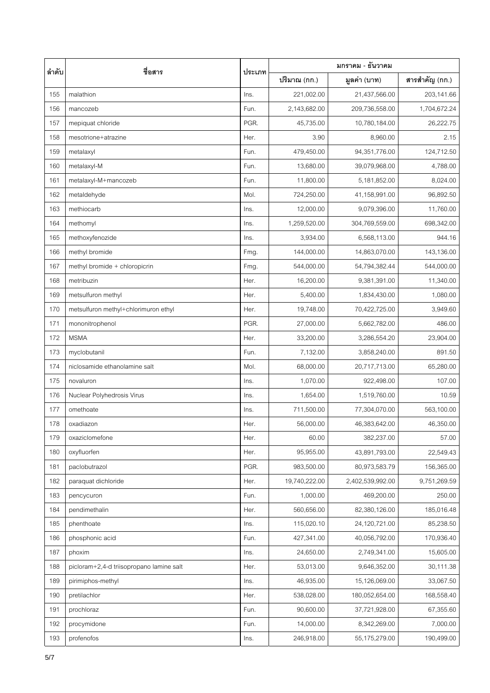| ลำดับ | ชื่อสาร                                  | ประเภท | มกราคม - ธันวาคม |                  |                |  |
|-------|------------------------------------------|--------|------------------|------------------|----------------|--|
|       |                                          |        | ปริมาณ (กก.)     | มูลค่า (บาท)     | สารสำคัญ (กก.) |  |
| 155   | malathion                                | Ins.   | 221,002.00       | 21,437,566.00    | 203,141.66     |  |
| 156   | mancozeb                                 | Fun.   | 2,143,682.00     | 209,736,558.00   | 1,704,672.24   |  |
| 157   | mepiquat chloride                        | PGR.   | 45,735.00        | 10,780,184.00    | 26,222.75      |  |
| 158   | mesotrione+atrazine                      | Her.   | 3.90             | 8,960.00         | 2.15           |  |
| 159   | metalaxyl                                | Fun.   | 479,450.00       | 94,351,776.00    | 124,712.50     |  |
| 160   | metalaxyl-M                              | Fun.   | 13,680.00        | 39,079,968.00    | 4,788.00       |  |
| 161   | metalaxyl-M+mancozeb                     | Fun.   | 11,800.00        | 5,181,852.00     | 8,024.00       |  |
| 162   | metaldehyde                              | Mol.   | 724,250.00       | 41,158,991.00    | 96,892.50      |  |
| 163   | methiocarb                               | Ins.   | 12,000.00        | 9,079,396.00     | 11,760.00      |  |
| 164   | methomyl                                 | Ins.   | 1,259,520.00     | 304,769,559.00   | 698,342.00     |  |
| 165   | methoxyfenozide                          | Ins.   | 3,934.00         | 6,568,113.00     | 944.16         |  |
| 166   | methyl bromide                           | Fmg.   | 144,000.00       | 14,863,070.00    | 143,136.00     |  |
| 167   | methyl bromide + chloropicrin            | Fmg.   | 544,000.00       | 54,794,382.44    | 544,000.00     |  |
| 168   | metribuzin                               | Her.   | 16,200.00        | 9,381,391.00     | 11,340.00      |  |
| 169   | metsulfuron methyl                       | Her.   | 5,400.00         | 1,834,430.00     | 1,080.00       |  |
| 170   | metsulfuron methyl+chlorimuron ethyl     | Her.   | 19,748.00        | 70,422,725.00    | 3,949.60       |  |
| 171   | mononitrophenol                          | PGR.   | 27,000.00        | 5,662,782.00     | 486.00         |  |
| 172   | <b>MSMA</b>                              | Her.   | 33,200.00        | 3,286,554.20     | 23,904.00      |  |
| 173   | myclobutanil                             | Fun.   | 7,132.00         | 3,858,240.00     | 891.50         |  |
| 174   | niclosamide ethanolamine salt            | Mol.   | 68,000.00        | 20,717,713.00    | 65,280.00      |  |
| 175   | novaluron                                | Ins.   | 1,070.00         | 922,498.00       | 107.00         |  |
| 176   | Nuclear Polyhedrosis Virus               | Ins.   | 1,654.00         | 1,519,760.00     | 10.59          |  |
| 177   | omethoate                                | Ins.   | 711,500.00       | 77,304,070.00    | 563,100.00     |  |
| 178   | oxadiazon                                | Her.   | 56,000.00        | 46,383,642.00    | 46,350.00      |  |
| 179   | oxaziclomefone                           | Her.   | 60.00            | 382,237.00       | 57.00          |  |
| 180   | oxyfluorfen                              | Her.   | 95,955.00        | 43,891,793.00    | 22,549.43      |  |
| 181   | paclobutrazol                            | PGR.   | 983,500.00       | 80,973,583.79    | 156,365.00     |  |
| 182   | paraquat dichloride                      | Her.   | 19,740,222.00    | 2,402,539,992.00 | 9,751,269.59   |  |
| 183   | pencycuron                               | Fun.   | 1,000.00         | 469,200.00       | 250.00         |  |
| 184   | pendimethalin                            | Her.   | 560,656.00       | 82,380,126.00    | 185,016.48     |  |
| 185   | phenthoate                               | Ins.   | 115,020.10       | 24,120,721.00    | 85,238.50      |  |
| 186   | phosphonic acid                          | Fun.   | 427,341.00       | 40,056,792.00    | 170,936.40     |  |
| 187   | phoxim                                   | Ins.   | 24,650.00        | 2,749,341.00     | 15,605.00      |  |
| 188   | picloram+2,4-d triisopropano lamine salt | Her.   | 53,013.00        | 9,646,352.00     | 30,111.38      |  |
| 189   | pirimiphos-methyl                        | Ins.   | 46,935.00        | 15,126,069.00    | 33,067.50      |  |
| 190   | pretilachlor                             | Her.   | 538,028.00       | 180,052,654.00   | 168,558.40     |  |
| 191   | prochloraz                               | Fun.   | 90,600.00        | 37,721,928.00    | 67,355.60      |  |
| 192   | procymidone                              | Fun.   | 14,000.00        | 8,342,269.00     | 7,000.00       |  |
| 193   | profenofos                               | Ins.   | 246,918.00       | 55,175,279.00    | 190,499.00     |  |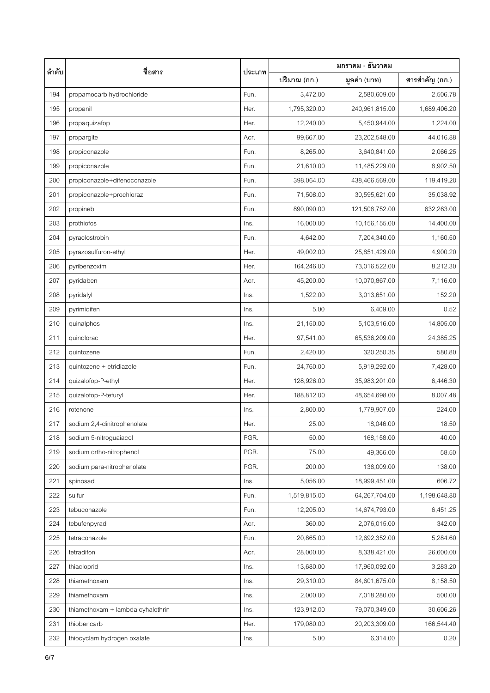| ลำดับ | ชื่อสาร                           | ประเภท | มกราคม - ธันวาคม |                |                |  |
|-------|-----------------------------------|--------|------------------|----------------|----------------|--|
|       |                                   |        | ปริมาณ (กก.)     | มูลค่า (บาท)   | สารสำคัญ (กก.) |  |
| 194   | propamocarb hydrochloride         | Fun.   | 3,472.00         | 2,580,609.00   | 2,506.78       |  |
| 195   | propanil                          | Her.   | 1,795,320.00     | 240,961,815.00 | 1,689,406.20   |  |
| 196   | propaquizafop                     | Her.   | 12,240.00        | 5,450,944.00   | 1,224.00       |  |
| 197   | propargite                        | Acr.   | 99,667.00        | 23,202,548.00  | 44,016.88      |  |
| 198   | propiconazole                     | Fun.   | 8,265.00         | 3,640,841.00   | 2,066.25       |  |
| 199   | propiconazole                     | Fun.   | 21,610.00        | 11,485,229.00  | 8,902.50       |  |
| 200   | propiconazole+difenoconazole      | Fun.   | 398,064.00       | 438,466,569.00 | 119,419.20     |  |
| 201   | propiconazole+prochloraz          | Fun.   | 71,508.00        | 30,595,621.00  | 35,038.92      |  |
| 202   | propineb                          | Fun.   | 890,090.00       | 121,508,752.00 | 632,263.00     |  |
| 203   | prothiofos                        | Ins.   | 16,000.00        | 10,156,155.00  | 14,400.00      |  |
| 204   | pyraclostrobin                    | Fun.   | 4,642.00         | 7,204,340.00   | 1,160.50       |  |
| 205   | pyrazosulfuron-ethyl              | Her.   | 49,002.00        | 25,851,429.00  | 4,900.20       |  |
| 206   | pyribenzoxim                      | Her.   | 164,246.00       | 73,016,522.00  | 8,212.30       |  |
| 207   | pyridaben                         | Acr.   | 45,200.00        | 10,070,867.00  | 7,116.00       |  |
| 208   | pyridalyl                         | Ins.   | 1,522.00         | 3,013,651.00   | 152.20         |  |
| 209   | pyrimidifen                       | Ins.   | 5.00             | 6,409.00       | 0.52           |  |
| 210   | quinalphos                        | Ins.   | 21,150.00        | 5,103,516.00   | 14,805.00      |  |
| 211   | quinclorac                        | Her.   | 97,541.00        | 65,536,209.00  | 24,385.25      |  |
| 212   | quintozene                        | Fun.   | 2,420.00         | 320,250.35     | 580.80         |  |
| 213   | quintozene + etridiazole          | Fun.   | 24,760.00        | 5,919,292.00   | 7,428.00       |  |
| 214   | quizalofop-P-ethyl                | Her.   | 128,926.00       | 35,983,201.00  | 6,446.30       |  |
| 215   | quizalofop-P-tefuryl              | Her.   | 188,812.00       | 48,654,698.00  | 8,007.48       |  |
| 216   | rotenone                          | Ins.   | 2,800.00         | 1,779,907.00   | 224.00         |  |
| 217   | sodium 2,4-dinitrophenolate       | Her.   | 25.00            | 18,046.00      | 18.50          |  |
| 218   | sodium 5-nitroguaiacol            | PGR.   | 50.00            | 168,158.00     | 40.00          |  |
| 219   | sodium ortho-nitrophenol          | PGR.   | 75.00            | 49,366.00      | 58.50          |  |
| 220   | sodium para-nitrophenolate        | PGR.   | 200.00           | 138,009.00     | 138.00         |  |
| 221   | spinosad                          | Ins.   | 5,056.00         | 18,999,451.00  | 606.72         |  |
| 222   | sulfur                            | Fun.   | 1,519,815.00     | 64,267,704.00  | 1,198,648.80   |  |
| 223   | tebuconazole                      | Fun.   | 12,205.00        | 14,674,793.00  | 6,451.25       |  |
| 224   | tebufenpyrad                      | Acr.   | 360.00           | 2,076,015.00   | 342.00         |  |
| 225   | tetraconazole                     | Fun.   | 20,865.00        | 12,692,352.00  | 5,284.60       |  |
| 226   | tetradifon                        | Acr.   | 28,000.00        | 8,338,421.00   | 26,600.00      |  |
| 227   | thiacloprid                       | Ins.   | 13,680.00        | 17,960,092.00  | 3,283.20       |  |
| 228   | thiamethoxam                      | Ins.   | 29,310.00        | 84,601,675.00  | 8,158.50       |  |
| 229   | thiamethoxam                      | Ins.   | 2,000.00         | 7,018,280.00   | 500.00         |  |
| 230   | thiamethoxam + lambda cyhalothrin | Ins.   | 123,912.00       | 79,070,349.00  | 30,606.26      |  |
| 231   | thiobencarb                       | Her.   | 179,080.00       | 20,203,309.00  | 166,544.40     |  |
| 232   | thiocyclam hydrogen oxalate       | Ins.   | 5.00             | 6,314.00       | 0.20           |  |